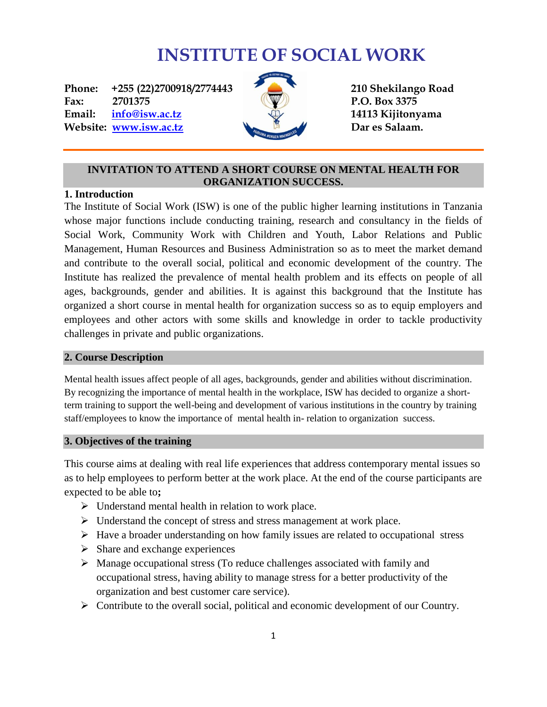# **INSTITUTE OF SOCIAL WORK**

Phone: +255 (22)2700918/2774443 **210 Shekilango Road Fax:** 2701375 **P.O. Box 3375 Email: [info@isw.ac.tz](mailto:info@isw.ac.tz) 14113 Kijitonyama Website:** *[www.isw.ac.tz](http://www.isw.ac.tz/)* **Dar es Salaam.** 



# **INVITATION TO ATTEND A SHORT COURSE ON MENTAL HEALTH FOR ORGANIZATION SUCCESS.**

# **1. Introduction**

The Institute of Social Work (ISW) is one of the public higher learning institutions in Tanzania whose major functions include conducting training, research and consultancy in the fields of Social Work, Community Work with Children and Youth, Labor Relations and Public Management, Human Resources and Business Administration so as to meet the market demand and contribute to the overall social, political and economic development of the country. The Institute has realized the prevalence of mental health problem and its effects on people of all ages, backgrounds, gender and abilities. It is against this background that the Institute has organized a short course in mental health for organization success so as to equip employers and employees and other actors with some skills and knowledge in order to tackle productivity challenges in private and public organizations.

#### **2. Course Description**

Mental health issues affect people of all ages, backgrounds, gender and abilities without discrimination. By recognizing the importance of mental health in the workplace, ISW has decided to organize a shortterm training to support the well-being and development of various institutions in the country by training staff/employees to know the importance of mental health in- relation to organization success.

# **3. Objectives of the training**

This course aims at dealing with real life experiences that address contemporary mental issues so as to help employees to perform better at the work place. At the end of the course participants are expected to be able to**;**

- $\triangleright$  Understand mental health in relation to work place.
- $\triangleright$  Understand the concept of stress and stress management at work place.
- $\triangleright$  Have a broader understanding on how family issues are related to occupational stress
- $\triangleright$  Share and exchange experiences
- $\triangleright$  Manage occupational stress (To reduce challenges associated with family and occupational stress, having ability to manage stress for a better productivity of the organization and best customer care service).
- $\triangleright$  Contribute to the overall social, political and economic development of our Country.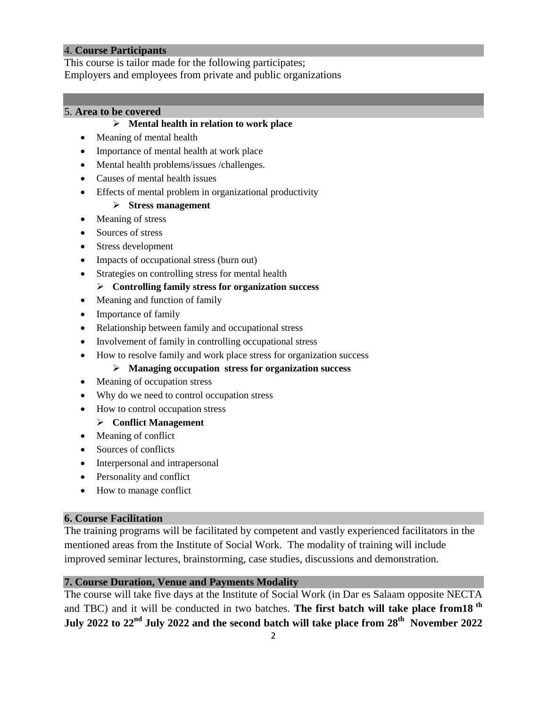# 4. **Course Participants**

This course is tailor made for the following participates; Employers and employees from private and public organizations

# 5. **Area to be covered**

#### **Mental health in relation to work place**

- Meaning of mental health
- Importance of mental health at work place
- Mental health problems/issues /challenges.
- Causes of mental health issues
- Effects of mental problem in organizational productivity

#### **Stress management**

- Meaning of stress
- Sources of stress
- Stress development
- Impacts of occupational stress (burn out)
- Strategies on controlling stress for mental health

#### **Controlling family stress for organization success**

- Meaning and function of family
- Importance of family
- Relationship between family and occupational stress
- Involvement of family in controlling occupational stress
- How to resolve family and work place stress for organization success

#### **Managing occupation stress for organization success**

- Meaning of occupation stress
- Why do we need to control occupation stress
- How to control occupation stress

# **Conflict Management**

- Meaning of conflict
- Sources of conflicts
- Interpersonal and intrapersonal
- Personality and conflict
- How to manage conflict

# **6. Course Facilitation**

The training programs will be facilitated by competent and vastly experienced facilitators in the mentioned areas from the Institute of Social Work. The modality of training will include improved seminar lectures, brainstorming, case studies, discussions and demonstration.

# **7. Course Duration, Venue and Payments Modality**

The course will take five days at the Institute of Social Work (in Dar es Salaam opposite NECTA and TBC) and it will be conducted in two batches. **The first batch will take place from 18** <sup>th</sup> **July 2022 to 22nd July 2022 and the second batch will take place from 28th November 2022**